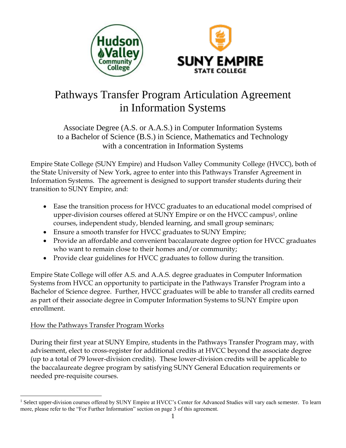



# Pathways Transfer Program Articulation Agreement in Information Systems

Associate Degree (A.S. or A.A.S.) in Computer Information Systems to a Bachelor of Science (B.S.) in Science, Mathematics and Technology with a concentration in Information Systems

Empire State College (SUNY Empire) and Hudson Valley Community College (HVCC), both of the State University of New York, agree to enter into this Pathways Transfer Agreement in Information Systems. The agreement is designed to support transfer students during their transition to SUNY Empire, and:

- Ease the transition process for HVCC graduates to an educational model comprised of upper-division courses offered at SUNY Empire or on the HVCC campus<sup>1</sup>, online courses, independent study, blended learning, and small group seminars;
- Ensure a smooth transfer for HVCC graduates to SUNY Empire;
- Provide an affordable and convenient baccalaureate degree option for HVCC graduates who want to remain close to their homes and/or community;
- Provide clear guidelines for HVCC graduates to follow during the transition.

Empire State College will offer A.S. and A.A.S. degree graduates in Computer Information Systems from HVCC an opportunity to participate in the Pathways Transfer Program into a Bachelor of Science degree. Further, HVCC graduates will be able to transfer all credits earned as part of their associate degree in Computer Information Systems to SUNY Empire upon enrollment.

# How the Pathways Transfer Program Works

 $\overline{a}$ 

During their first year at SUNY Empire, students in the Pathways Transfer Program may, with advisement, elect to cross-register for additional credits at HVCC beyond the associate degree (up to a total of 79 lower-division credits). These lower-division credits will be applicable to the baccalaureate degree program by satisfying SUNY General Education requirements or needed pre-requisite courses.

<sup>&</sup>lt;sup>1</sup> Select upper-division courses offered by SUNY Empire at HVCC's Center for Advanced Studies will vary each semester. To learn more, please refer to the "For Further Information" section on page 3 of this agreement.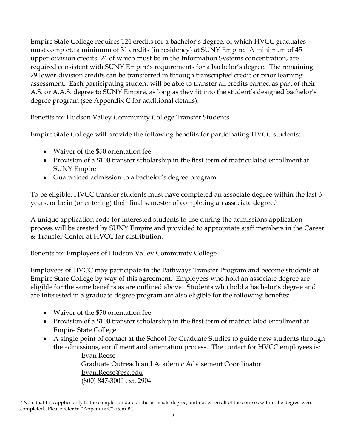Empire State College requires 124 credits for a bachelor's degree, of which HVCC graduates must complete a minimum of 31 credits (in residency) at SUNY Empire. A minimum of 45 upper-division credits, 24 of which must be in the Information Systems concentration, are required consistent with SUNY Empire's requirements for a bachelor's degree. The remaining 79 lower-division credits can be transferred in through transcripted credit or prior learning assessment. Each participating student will be able to transfer all credits earned as part of their A.S. or A.A.S. degree to SUNY Empire, as long as they fit into the student's designed bachelor's degree program (see Appendix C for additional details).

# Benefits for Hudson Valley Community College Transfer Students

Empire State College will provide the following benefits for participating HVCC students:

- Waiver of the \$50 orientation fee
- Provision of a \$100 transfer scholarship in the first term of matriculated enrollment at SUNY Empire
- Guaranteed admission to a bachelor's degree program

To be eligible, HVCC transfer students must have completed an associate degree within the last 3 years, or be in (or entering) their final semester of completing an associate degree.<sup>2</sup>

A unique application code for interested students to use during the admissions application process will be created by SUNY Empire and provided to appropriate staff members in the Career & Transfer Center at HVCC for distribution.

## Benefits for Employees of Hudson Valley Community College

Employees of HVCC may participate in the Pathways Transfer Program and become students at Empire State College by way of this agreement. Employees who hold an associate degree are eligible for the same benefits as are outlined above. Students who hold a bachelor's degree and are interested in a graduate degree program are also eligible for the following benefits:

Waiver of the \$50 orientation fee

 $\overline{a}$ 

- Provision of a \$100 transfer scholarship in the first term of matriculated enrollment at Empire State College
- A single point of contact at the School for Graduate Studies to guide new students through the admissions, enrollment and orientation process. The contact for HVCC employees is:

Evan Reese Graduate Outreach and Academic Advisement Coordinator Evan.Reese@esc.edu (800) 847-3000 ext. 2904

<sup>&</sup>lt;sup>2</sup> Note that this applies only to the completion date of the associate degree, and not when all of the courses within the degree were completed. Please refer to "Appendix C", item #4.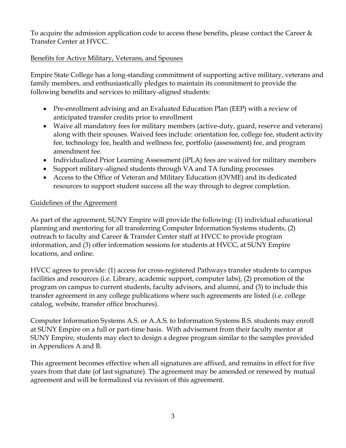To acquire the admission application code to access these benefits, please contact the Career  $\&$ Transfer Center at HVCC.

# Benefits for Active Military, Veterans, and Spouses

Empire State College has a long-standing commitment of supporting active military, veterans and family members, and enthusiastically pledges to maintain its commitment to provide the following benefits and services to military-aligned students:

- Pre-enrollment advising and an Evaluated Education Plan (EEP) with a review of anticipated transfer credits prior to enrollment
- Waive all mandatory fees for military members (active-duty, guard, reserve and veterans) along with their spouses. Waived fees include: orientation fee, college fee, student activity fee, technology fee, health and wellness fee, portfolio (assessment) fee, and program amendment fee.
- Individualized Prior Learning Assessment (iPLA) fees are waived for military members
- Support military-aligned students through VA and TA funding processes
- Access to the Office of Veteran and Military Education (OVME) and its dedicated resources to support student success all the way through to degree completion.

# Guidelines of the Agreement

As part of the agreement, SUNY Empire will provide the following: (1) individual educational planning and mentoring for all transferring Computer Information Systems students, (2) outreach to faculty and Career & Transfer Center staff at HVCC to provide program information, and (3) offer information sessions for students at HVCC, at SUNY Empire locations, and online.

HVCC agrees to provide: (1) access for cross-registered Pathways transfer students to campus facilities and resources (i.e. Library, academic support, computer labs), (2) promotion of the program on campus to current students, faculty advisors, and alumni, and (3) to include this transfer agreement in any college publications where such agreements are listed (i.e. college catalog, website, transfer office brochures).

Computer Information Systems A.S. or A.A.S. to Information Systems B.S. students may enroll at SUNY Empire on a full or part-time basis. With advisement from their faculty mentor at SUNY Empire, students may elect to design a degree program similar to the samples provided in Appendices A and B.

This agreement becomes effective when all signatures are affixed, and remains in effect for five years from that date (of last signature). The agreement may be amended or renewed by mutual agreement and will be formalized via revision of this agreement.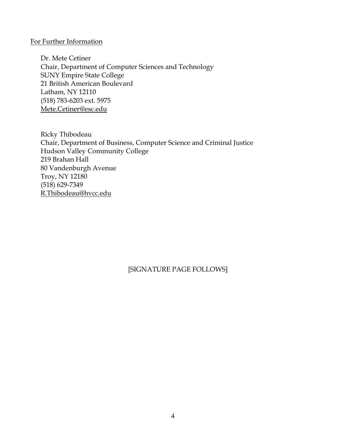#### For Further Information

Dr. Mete Cetiner Chair, Department of Computer Sciences and Technology SUNY Empire State College 21 British American Boulevard Latham, NY 12110 (518) 783-6203 ext. 5975 Mete.Cetiner@esc.edu

Ricky Thibodeau Chair, Department of Business, Computer Science and Criminal Justice Hudson Valley Community College 219 Brahan Hall 80 Vandenburgh Avenue Troy, NY 12180 (518) 629-7349 R.Thibodeau@hvcc.edu

## [SIGNATURE PAGE FOLLOWS]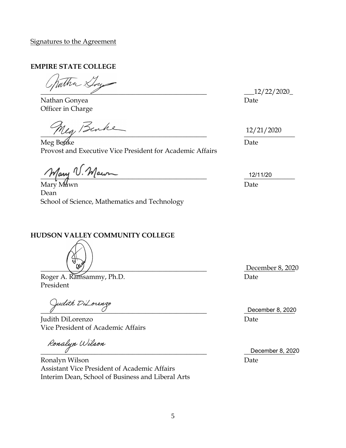#### Signatures to the Agreement

#### **EMPIRE STATE COLLEGE**

 $\overline{\phantom{a}}$ 

Nathan Gonyea Officer in Charge

 $\frac{1}{2}$ 

Meg Ben⁄ke Provost and Executive Vice President for Academic Affairs

 $\mathcal{M}$ ary V. Maun

Mary Mawn Dean School of Science, Mathematics and Technology

#### **HUDSON VALLEY COMMUNITY COLLEGE**

 $\left(\begin{array}{c}\n\sqrt{2} \\
\sqrt{2}\n\end{array}\right)$ 

Roger A. Ramsammy, Ph.D. President

\_\_\_\_\_\_\_\_\_\_\_\_\_\_\_\_\_\_\_\_\_\_\_\_\_\_\_\_\_\_\_\_\_\_\_\_\_\_\_\_\_\_\_\_\_\_\_\_\_ \_\_\_\_\_\_\_\_\_\_\_\_\_\_\_

Judith DiLorenzo Date Vice President of Academic Affairs

Ronalyn Wilson

Ronalyn Wilson Date Assistant Vice President of Academic Affairs Interim Dean, School of Business and Liberal Arts

 $-12/22/2020$ Date

\_\_\_\_\_\_\_\_\_\_\_\_\_\_\_ 12/21/2020

Date

\_\_\_\_\_\_\_\_\_\_\_\_\_\_\_ 12/11/20 Date

December 8, 2020 Date

December 8, 2020

December 8, 2020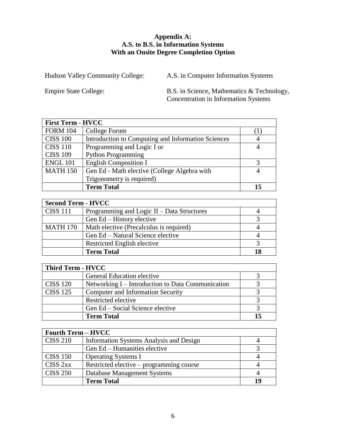#### **Appendix A: A.S. to B.S. in Information Systems With an Onsite Degree Completion Option**

Hudson Valley Community College: A.S. in Computer Information Systems

Empire State College: B.S. in Science, Mathematics & Technology, Concentration in Information Systems

| <b>First Term - HVCC</b> |                                                    |    |
|--------------------------|----------------------------------------------------|----|
| <b>FORM 104</b>          | College Forum                                      |    |
| <b>CISS 100</b>          | Introduction to Computing and Information Sciences |    |
| <b>CISS 110</b>          | Programming and Logic I or                         |    |
| <b>CISS 109</b>          | <b>Python Programming</b>                          |    |
| <b>ENGL 101</b>          | <b>English Composition I</b>                       |    |
| <b>MATH 150</b>          | Gen Ed - Math elective (College Algebra with       |    |
|                          | Trigonometry is required)                          |    |
|                          | <b>Term Total</b>                                  | 15 |

| <b>Second Term - HVCC</b> |                                            |  |
|---------------------------|--------------------------------------------|--|
| <b>CISS 111</b>           | Programming and Logic II – Data Structures |  |
|                           | Gen Ed – History elective                  |  |
| <b>MATH 170</b>           | Math elective (Precalculus is required)    |  |
|                           | Gen Ed – Natural Science elective          |  |
|                           | Restricted English elective                |  |
|                           | <b>Term Total</b>                          |  |

| Third Term - HVCC |                                                   |  |
|-------------------|---------------------------------------------------|--|
|                   | General Education elective                        |  |
| <b>CISS 120</b>   | Networking I – Introduction to Data Communication |  |
| <b>CISS 125</b>   | <b>Computer and Information Security</b>          |  |
|                   | Restricted elective                               |  |
|                   | Gen Ed – Social Science elective                  |  |
|                   | <b>Term Total</b>                                 |  |

| <b>Fourth Term – HVCC</b> |                                          |    |
|---------------------------|------------------------------------------|----|
| <b>CISS 210</b>           | Information Systems Analysis and Design  |    |
|                           | Gen Ed – Humanities elective             |    |
| <b>CISS 150</b>           | <b>Operating Systems I</b>               |    |
| CISS <sub>2xx</sub>       | Restricted elective – programming course |    |
| <b>CISS 250</b>           | Database Management Systems              |    |
|                           | <b>Term Total</b>                        | 10 |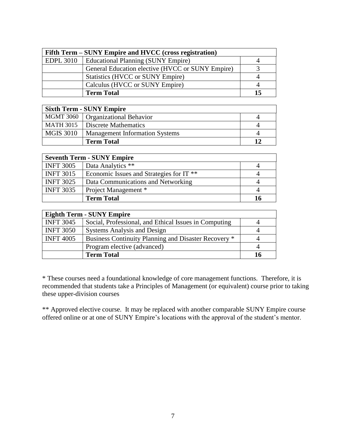| Fifth Term – SUNY Empire and HVCC (cross registration) |                                                  |  |
|--------------------------------------------------------|--------------------------------------------------|--|
| <b>EDPL 3010</b>                                       | Educational Planning (SUNY Empire)               |  |
|                                                        | General Education elective (HVCC or SUNY Empire) |  |
|                                                        | <b>Statistics (HVCC or SUNY Empire)</b>          |  |
|                                                        | Calculus (HVCC or SUNY Empire)                   |  |
|                                                        | <b>Term Total</b>                                |  |

| <b>Sixth Term - SUNY Empire</b> |                                       |  |
|---------------------------------|---------------------------------------|--|
|                                 | MGMT 3060   Organizational Behavior   |  |
| MATH 3015                       | Discrete Mathematics                  |  |
| <b>MGIS 3010</b>                | <b>Management Information Systems</b> |  |
|                                 | <b>Term Total</b>                     |  |

| <b>Seventh Term - SUNY Empire</b> |                                                     |  |
|-----------------------------------|-----------------------------------------------------|--|
| <b>INFT 3005</b>                  | Data Analytics **                                   |  |
| <b>INFT 3015</b>                  | Economic Issues and Strategies for IT <sup>**</sup> |  |
| <b>INFT 3025</b>                  | Data Communications and Networking                  |  |
| <b>INFT 3035</b>                  | Project Management *                                |  |
|                                   | <b>Term Total</b>                                   |  |

| <b>Eighth Term - SUNY Empire</b> |                                                       |    |
|----------------------------------|-------------------------------------------------------|----|
| <b>INFT 3045</b>                 | Social, Professional, and Ethical Issues in Computing |    |
| <b>INFT 3050</b>                 | <b>Systems Analysis and Design</b>                    |    |
| <b>INFT 4005</b>                 | Business Continuity Planning and Disaster Recovery *  |    |
|                                  | Program elective (advanced)                           |    |
|                                  | <b>Term Total</b>                                     | 16 |

\* These courses need a foundational knowledge of core management functions. Therefore, it is recommended that students take a Principles of Management (or equivalent) course prior to taking these upper-division courses

\*\* Approved elective course. It may be replaced with another comparable SUNY Empire course offered online or at one of SUNY Empire's locations with the approval of the student's mentor.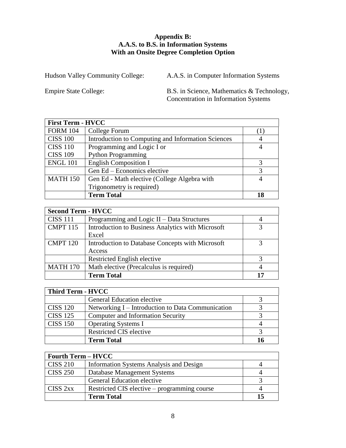#### **Appendix B: A.A.S. to B.S. in Information Systems With an Onsite Degree Completion Option**

Hudson Valley Community College: A.A.S. in Computer Information Systems

Empire State College: B.S. in Science, Mathematics & Technology, Concentration in Information Systems

| <b>First Term - HVCC</b> |                                                    |    |
|--------------------------|----------------------------------------------------|----|
| <b>FORM 104</b>          | College Forum                                      |    |
| <b>CISS 100</b>          | Introduction to Computing and Information Sciences |    |
| <b>CISS 110</b>          | Programming and Logic I or                         |    |
| <b>CISS 109</b>          | <b>Python Programming</b>                          |    |
| <b>ENGL 101</b>          | <b>English Composition I</b>                       |    |
|                          | Gen Ed - Economics elective                        | 3  |
| <b>MATH 150</b>          | Gen Ed - Math elective (College Algebra with       |    |
|                          | Trigonometry is required)                          |    |
|                          | <b>Term Total</b>                                  | 18 |

| <b>Second Term - HVCC</b> |                                                   |  |
|---------------------------|---------------------------------------------------|--|
| <b>CISS 111</b>           | Programming and Logic II - Data Structures        |  |
| <b>CMPT 115</b>           | Introduction to Business Analytics with Microsoft |  |
|                           | Excel                                             |  |
| <b>CMPT 120</b>           | Introduction to Database Concepts with Microsoft  |  |
|                           | Access                                            |  |
|                           | Restricted English elective                       |  |
| <b>MATH 170</b>           | Math elective (Precalculus is required)           |  |
|                           | <b>Term Total</b>                                 |  |

| Third Term - HVCC |                                                   |  |
|-------------------|---------------------------------------------------|--|
|                   | General Education elective                        |  |
| <b>CISS 120</b>   | Networking I – Introduction to Data Communication |  |
| <b>CISS 125</b>   | <b>Computer and Information Security</b>          |  |
| <b>CISS 150</b>   | <b>Operating Systems I</b>                        |  |
|                   | <b>Restricted CIS elective</b>                    |  |
|                   | <b>Term Total</b>                                 |  |

| <b>Fourth Term – HVCC</b> |                                              |  |
|---------------------------|----------------------------------------------|--|
| <b>CISS 210</b>           | Information Systems Analysis and Design      |  |
| <b>CISS 250</b>           | Database Management Systems                  |  |
|                           | General Education elective                   |  |
| CISS <sub>2xx</sub>       | Restricted CIS elective – programming course |  |
|                           | <b>Term Total</b>                            |  |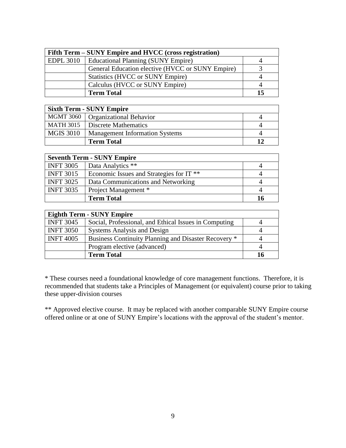| Fifth Term – SUNY Empire and HVCC (cross registration) |                                                  |  |  |  |
|--------------------------------------------------------|--------------------------------------------------|--|--|--|
| <b>EDPL 3010</b>                                       | Educational Planning (SUNY Empire)               |  |  |  |
|                                                        | General Education elective (HVCC or SUNY Empire) |  |  |  |
|                                                        | <b>Statistics (HVCC or SUNY Empire)</b>          |  |  |  |
|                                                        | Calculus (HVCC or SUNY Empire)                   |  |  |  |
|                                                        | <b>Term Total</b>                                |  |  |  |

| <b>Sixth Term - SUNY Empire</b> |                                       |  |  |  |
|---------------------------------|---------------------------------------|--|--|--|
|                                 | MGMT 3060   Organizational Behavior   |  |  |  |
| MATH 3015                       | Discrete Mathematics                  |  |  |  |
| <b>MGIS 3010</b>                | <b>Management Information Systems</b> |  |  |  |
|                                 | <b>Term Total</b>                     |  |  |  |

| <b>Seventh Term - SUNY Empire</b> |                                                     |  |  |  |
|-----------------------------------|-----------------------------------------------------|--|--|--|
| <b>INFT 3005</b>                  | Data Analytics **                                   |  |  |  |
| <b>INFT 3015</b>                  | Economic Issues and Strategies for IT <sup>**</sup> |  |  |  |
| <b>INFT 3025</b>                  | Data Communications and Networking                  |  |  |  |
| <b>INFT 3035</b>                  | Project Management *                                |  |  |  |
|                                   | <b>Term Total</b>                                   |  |  |  |

| <b>Eighth Term - SUNY Empire</b> |                                                       |    |  |  |
|----------------------------------|-------------------------------------------------------|----|--|--|
| <b>INFT 3045</b>                 | Social, Professional, and Ethical Issues in Computing |    |  |  |
| <b>INFT 3050</b>                 | <b>Systems Analysis and Design</b>                    |    |  |  |
| <b>INFT 4005</b>                 | Business Continuity Planning and Disaster Recovery *  |    |  |  |
|                                  | Program elective (advanced)                           |    |  |  |
|                                  | <b>Term Total</b>                                     | 16 |  |  |

\* These courses need a foundational knowledge of core management functions. Therefore, it is recommended that students take a Principles of Management (or equivalent) course prior to taking these upper-division courses

\*\* Approved elective course. It may be replaced with another comparable SUNY Empire course offered online or at one of SUNY Empire's locations with the approval of the student's mentor.